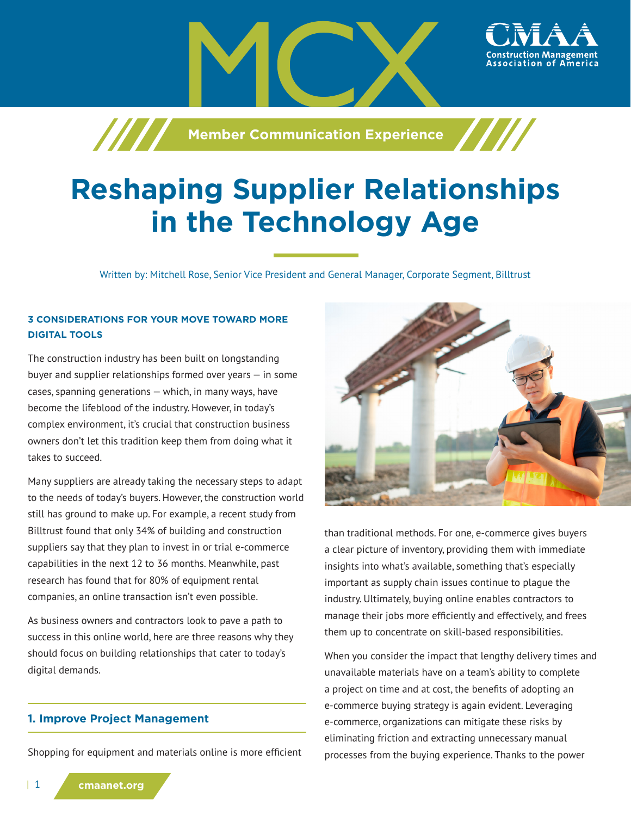

# **Reshaping Supplier Relationships in the Technology Age**

Written by: Mitchell Rose, Senior Vice President and General Manager, Corporate Segment, Billtrust

## **3 CONSIDERATIONS FOR YOUR MOVE TOWARD MORE DIGITAL TOOLS**

The construction industry has been built on longstanding buyer and supplier relationships formed over years — in some cases, spanning generations — which, in many ways, have become the lifeblood of the industry. However, in today's complex environment, it's crucial that construction business owners don't let this tradition keep them from doing what it takes to succeed.

Many suppliers are already taking the necessary steps to adapt to the needs of today's buyers. However, the construction world still has ground to make up. For example, a recent study from Billtrust found that only 34% of building and construction suppliers say that they plan to invest in or trial e-commerce capabilities in the next 12 to 36 months. Meanwhile, past research has found that for 80% of equipment rental companies, an online transaction isn't even possible.

As business owners and contractors look to pave a path to success in this online world, here are three reasons why they should focus on building relationships that cater to today's digital demands.

#### **1. Improve Project Management**

Shopping for equipment and materials online is more efficient



than traditional methods. For one, e-commerce gives buyers a clear picture of inventory, providing them with immediate insights into what's available, something that's especially important as supply chain issues continue to plague the industry. Ultimately, buying online enables contractors to manage their jobs more efficiently and effectively, and frees them up to concentrate on skill-based responsibilities.

When you consider the impact that lengthy delivery times and unavailable materials have on a team's ability to complete a project on time and at cost, the benefits of adopting an e-commerce buying strategy is again evident. Leveraging e-commerce, organizations can mitigate these risks by eliminating friction and extracting unnecessary manual processes from the buying experience. Thanks to the power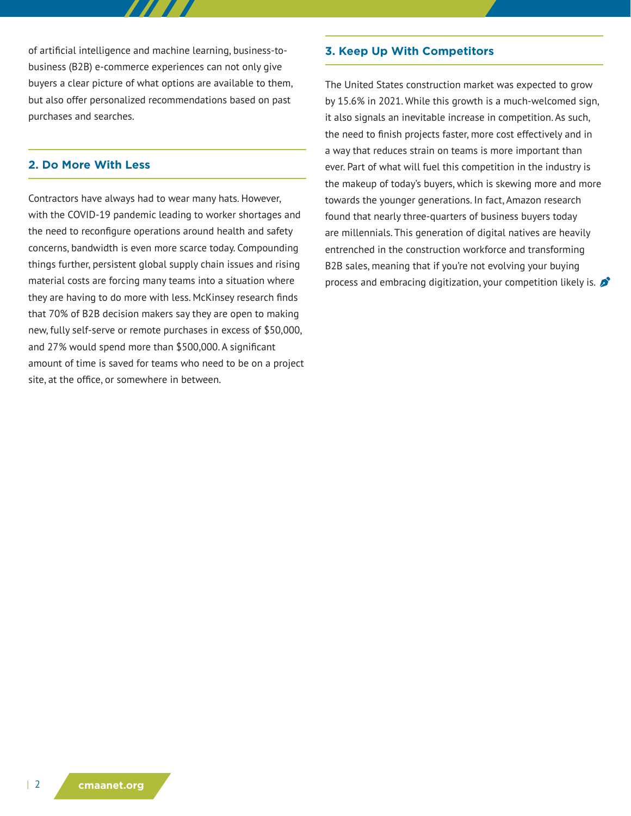of artificial intelligence and machine learning, business-tobusiness (B2B) e-commerce experiences can not only give buyers a clear picture of what options are available to them, but also offer personalized recommendations based on past purchases and searches.

## **2. Do More With Less**

Contractors have always had to wear many hats. However, with the COVID-19 pandemic leading to worker shortages and the need to reconfigure operations around health and safety concerns, bandwidth is even more scarce today. Compounding things further, persistent global supply chain issues and rising material costs are forcing many teams into a situation where they are having to do more with less. McKinsey research finds that 70% of B2B decision makers say they are open to making new, fully self-serve or remote purchases in excess of \$50,000, and 27% would spend more than \$500,000. A significant amount of time is saved for teams who need to be on a project site, at the office, or somewhere in between.

#### **3. Keep Up With Competitors**

The United States construction market was expected to grow by 15.6% in 2021. While this growth is a much-welcomed sign, it also signals an inevitable increase in competition. As such, the need to finish projects faster, more cost effectively and in a way that reduces strain on teams is more important than ever. Part of what will fuel this competition in the industry is the makeup of today's buyers, which is skewing more and more towards the younger generations. In fact, Amazon research found that nearly three-quarters of business buyers today are millennials. This generation of digital natives are heavily entrenched in the construction workforce and transforming B2B sales, meaning that if you're not evolving your buying process and embracing digitization, your competition likely is.  $\mathcal{L}$